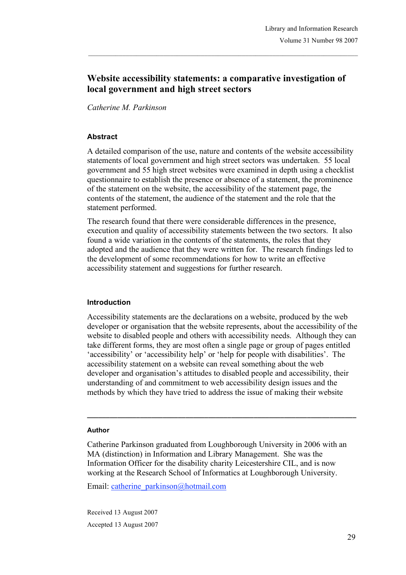# **Website accessibility statements: a comparative investigation of local government and high street sectors**

*Catherine M. Parkinson*

### **Abstract**

A detailed comparison of the use, nature and contents of the website accessibility statements of local government and high street sectors was undertaken. 55 local government and 55 high street websites were examined in depth using a checklist questionnaire to establish the presence or absence of a statement, the prominence of the statement on the website, the accessibility of the statement page, the contents of the statement, the audience of the statement and the role that the statement performed.

The research found that there were considerable differences in the presence, execution and quality of accessibility statements between the two sectors. It also found a wide variation in the contents of the statements, the roles that they adopted and the audience that they were written for. The research findings led to the development of some recommendations for how to write an effective accessibility statement and suggestions for further research.

### **Introduction**

Accessibility statements are the declarations on a website, produced by the web developer or organisation that the website represents, about the accessibility of the website to disabled people and others with accessibility needs. Although they can take different forms, they are most often a single page or group of pages entitled 'accessibility' or 'accessibility help' or 'help for people with disabilities'. The accessibility statement on a website can reveal something about the web developer and organisation's attitudes to disabled people and accessibility, their understanding of and commitment to web accessibility design issues and the methods by which they have tried to address the issue of making their website

**\_\_\_\_\_\_\_\_\_\_\_\_\_\_\_\_\_\_\_\_\_\_\_\_\_\_\_\_\_\_\_\_\_\_\_\_\_\_\_\_\_\_\_\_\_\_\_\_\_\_\_\_\_\_\_\_\_\_\_\_\_\_\_\_\_\_\_\_\_\_\_**

#### **Author**

Catherine Parkinson graduated from Loughborough University in 2006 with an MA (distinction) in Information and Library Management. She was the Information Officer for the disability charity Leicestershire CIL, and is now working at the Research School of Informatics at Loughborough University.

Email: catherine\_parkinson@hotmail.com

Received 13 August 2007 Accepted 13 August 2007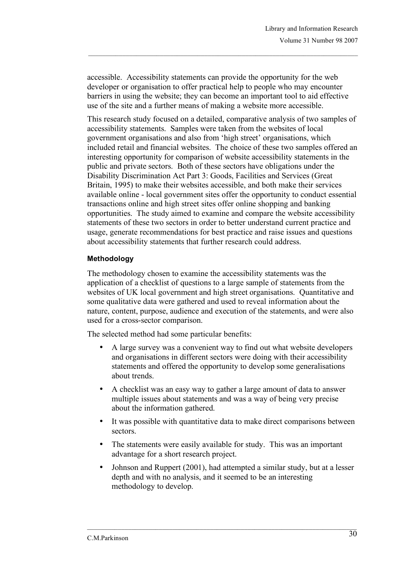accessible. Accessibility statements can provide the opportunity for the web developer or organisation to offer practical help to people who may encounter barriers in using the website; they can become an important tool to aid effective use of the site and a further means of making a website more accessible.

This research study focused on a detailed, comparative analysis of two samples of accessibility statements. Samples were taken from the websites of local government organisations and also from 'high street' organisations, which included retail and financial websites. The choice of these two samples offered an interesting opportunity for comparison of website accessibility statements in the public and private sectors. Both of these sectors have obligations under the Disability Discrimination Act Part 3: Goods, Facilities and Services (Great Britain, 1995) to make their websites accessible, and both make their services available online - local government sites offer the opportunity to conduct essential transactions online and high street sites offer online shopping and banking opportunities. The study aimed to examine and compare the website accessibility statements of these two sectors in order to better understand current practice and usage, generate recommendations for best practice and raise issues and questions about accessibility statements that further research could address.

# **Methodology**

The methodology chosen to examine the accessibility statements was the application of a checklist of questions to a large sample of statements from the websites of UK local government and high street organisations. Quantitative and some qualitative data were gathered and used to reveal information about the nature, content, purpose, audience and execution of the statements, and were also used for a cross-sector comparison.

The selected method had some particular benefits:

- A large survey was a convenient way to find out what website developers and organisations in different sectors were doing with their accessibility statements and offered the opportunity to develop some generalisations about trends.
- A checklist was an easy way to gather a large amount of data to answer multiple issues about statements and was a way of being very precise about the information gathered.
- It was possible with quantitative data to make direct comparisons between sectors.
- The statements were easily available for study. This was an important advantage for a short research project.
- Johnson and Ruppert (2001), had attempted a similar study, but at a lesser depth and with no analysis, and it seemed to be an interesting methodology to develop.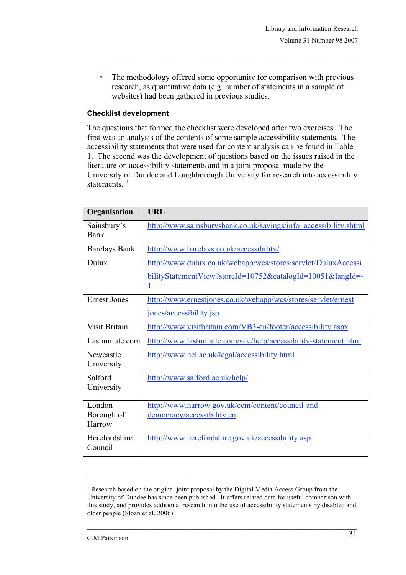• The methodology offered some opportunity for comparison with previous research, as quantitative data (e.g. number of statements in a sample of websites) had been gathered in previous studies.

# **Checklist development**

The questions that formed the checklist were developed after two exercises. The first was an analysis of the contents of some sample accessibility statements. The accessibility statements that were used for content analysis can be found in Table 1. The second was the development of questions based on the issues raised in the literature on accessibility statements and in a joint proposal made by the University of Dundee and Loughborough University for research into accessibility statements<sup>1</sup>

| Organisation             | <b>URL</b>                                                              |
|--------------------------|-------------------------------------------------------------------------|
| Sainsbury's<br>Bank      | http://www.sainsburysbank.co.uk/savings/info accessibility.shtml        |
| <b>Barclays Bank</b>     | http://www.barclays.co.uk/accessibility/                                |
| Dulux                    | http://www.dulux.co.uk/webapp/wcs/stores/servlet/DuluxAccessi           |
|                          | bilityStatementView?storeId=10752&catalogId=10051&langId=-<br><u> 1</u> |
| <b>Ernest Jones</b>      | http://www.ernestjones.co.uk/webapp/wcs/stores/servlet/ernest           |
|                          | jones/accessibility.jsp                                                 |
| Visit Britain            | http://www.visitbritain.com/VB3-en/footer/accessibility.aspx            |
| Lastminute.com           | http://www.lastminute.com/site/help/accessibility-statement.html        |
| Newcastle<br>University  | http://www.ncl.ac.uk/legal/accessibility.html                           |
| Salford<br>University    | http://www.salford.ac.uk/help/                                          |
| London                   | http://www.harrow.gov.uk/ccm/content/council-and-                       |
| Borough of<br>Harrow     | democracy/accessibility.en                                              |
| Herefordshire<br>Council | http://www.herefordshire.gov.uk/accessibility.asp                       |

 $1$  Research based on the original joint proposal by the Digital Media Access Group from the University of Dundee has since been published. It offers related data for useful comparison with this study, and provides additional research into the use of accessibility statements by disabled and older people (Sloan et al, 2006).

-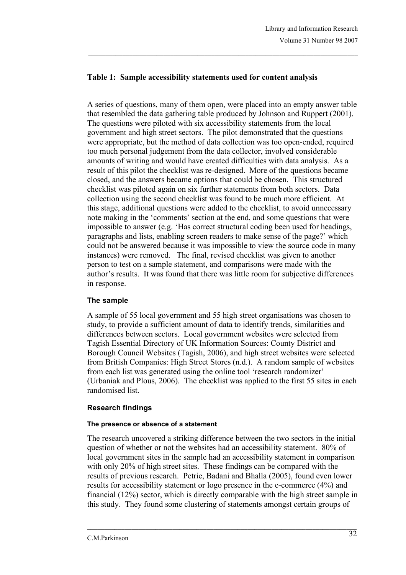# **Table 1: Sample accessibility statements used for content analysis**

A series of questions, many of them open, were placed into an empty answer table that resembled the data gathering table produced by Johnson and Ruppert (2001). The questions were piloted with six accessibility statements from the local government and high street sectors. The pilot demonstrated that the questions were appropriate, but the method of data collection was too open-ended, required too much personal judgement from the data collector, involved considerable amounts of writing and would have created difficulties with data analysis. As a result of this pilot the checklist was re-designed. More of the questions became closed, and the answers became options that could be chosen. This structured checklist was piloted again on six further statements from both sectors. Data collection using the second checklist was found to be much more efficient. At this stage, additional questions were added to the checklist, to avoid unnecessary note making in the 'comments' section at the end, and some questions that were impossible to answer (e.g. 'Has correct structural coding been used for headings, paragraphs and lists, enabling screen readers to make sense of the page?' which could not be answered because it was impossible to view the source code in many instances) were removed. The final, revised checklist was given to another person to test on a sample statement, and comparisons were made with the author's results. It was found that there was little room for subjective differences in response.

# **The sample**

A sample of 55 local government and 55 high street organisations was chosen to study, to provide a sufficient amount of data to identify trends, similarities and differences between sectors. Local government websites were selected from Tagish Essential Directory of UK Information Sources: County District and Borough Council Websites (Tagish, 2006), and high street websites were selected from British Companies: High Street Stores (n.d.). A random sample of websites from each list was generated using the online tool 'research randomizer' (Urbaniak and Plous, 2006). The checklist was applied to the first 55 sites in each randomised list.

# **Research findings**

### **The presence or absence of a statement**

The research uncovered a striking difference between the two sectors in the initial question of whether or not the websites had an accessibility statement. 80% of local government sites in the sample had an accessibility statement in comparison with only 20% of high street sites. These findings can be compared with the results of previous research. Petrie, Badani and Bhalla (2005), found even lower results for accessibility statement or logo presence in the e-commerce (4%) and financial (12%) sector, which is directly comparable with the high street sample in this study. They found some clustering of statements amongst certain groups of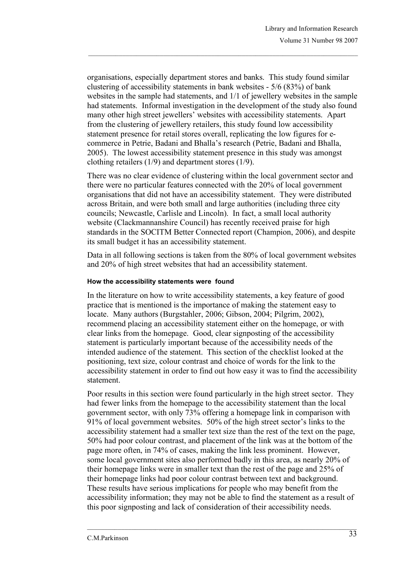organisations, especially department stores and banks. This study found similar clustering of accessibility statements in bank websites - 5/6 (83%) of bank websites in the sample had statements, and 1/1 of jewellery websites in the sample had statements. Informal investigation in the development of the study also found many other high street jewellers' websites with accessibility statements. Apart from the clustering of jewellery retailers, this study found low accessibility statement presence for retail stores overall, replicating the low figures for ecommerce in Petrie, Badani and Bhalla's research (Petrie, Badani and Bhalla, 2005). The lowest accessibility statement presence in this study was amongst clothing retailers (1/9) and department stores (1/9).

There was no clear evidence of clustering within the local government sector and there were no particular features connected with the 20% of local government organisations that did not have an accessibility statement. They were distributed across Britain, and were both small and large authorities (including three city councils; Newcastle, Carlisle and Lincoln). In fact, a small local authority website (Clackmannanshire Council) has recently received praise for high standards in the SOCITM Better Connected report (Champion, 2006), and despite its small budget it has an accessibility statement.

Data in all following sections is taken from the 80% of local government websites and 20% of high street websites that had an accessibility statement.

### **How the accessibility statements were found**

In the literature on how to write accessibility statements, a key feature of good practice that is mentioned is the importance of making the statement easy to locate. Many authors (Burgstahler, 2006; Gibson, 2004; Pilgrim, 2002), recommend placing an accessibility statement either on the homepage, or with clear links from the homepage. Good, clear signposting of the accessibility statement is particularly important because of the accessibility needs of the intended audience of the statement. This section of the checklist looked at the positioning, text size, colour contrast and choice of words for the link to the accessibility statement in order to find out how easy it was to find the accessibility statement.

Poor results in this section were found particularly in the high street sector. They had fewer links from the homepage to the accessibility statement than the local government sector, with only 73% offering a homepage link in comparison with 91% of local government websites. 50% of the high street sector's links to the accessibility statement had a smaller text size than the rest of the text on the page, 50% had poor colour contrast, and placement of the link was at the bottom of the page more often, in 74% of cases, making the link less prominent. However, some local government sites also performed badly in this area, as nearly 20% of their homepage links were in smaller text than the rest of the page and 25% of their homepage links had poor colour contrast between text and background. These results have serious implications for people who may benefit from the accessibility information; they may not be able to find the statement as a result of this poor signposting and lack of consideration of their accessibility needs.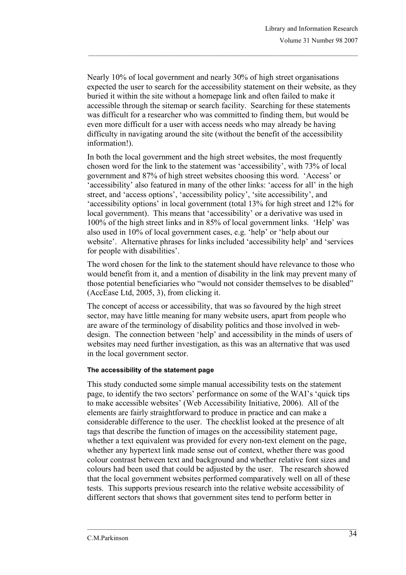Nearly 10% of local government and nearly 30% of high street organisations expected the user to search for the accessibility statement on their website, as they buried it within the site without a homepage link and often failed to make it accessible through the sitemap or search facility. Searching for these statements was difficult for a researcher who was committed to finding them, but would be even more difficult for a user with access needs who may already be having difficulty in navigating around the site (without the benefit of the accessibility information!).

In both the local government and the high street websites, the most frequently chosen word for the link to the statement was 'accessibility', with 73% of local government and 87% of high street websites choosing this word. 'Access' or 'accessibility' also featured in many of the other links: 'access for all' in the high street, and 'access options', 'accessibility policy', 'site accessibility', and 'accessibility options' in local government (total 13% for high street and 12% for local government). This means that 'accessibility' or a derivative was used in 100% of the high street links and in 85% of local government links. 'Help' was also used in 10% of local government cases, e.g. 'help' or 'help about our website'. Alternative phrases for links included 'accessibility help' and 'services for people with disabilities'.

The word chosen for the link to the statement should have relevance to those who would benefit from it, and a mention of disability in the link may prevent many of those potential beneficiaries who "would not consider themselves to be disabled" (AccEase Ltd, 2005, 3), from clicking it.

The concept of access or accessibility, that was so favoured by the high street sector, may have little meaning for many website users, apart from people who are aware of the terminology of disability politics and those involved in webdesign. The connection between 'help' and accessibility in the minds of users of websites may need further investigation, as this was an alternative that was used in the local government sector.

# **The accessibility of the statement page**

This study conducted some simple manual accessibility tests on the statement page, to identify the two sectors' performance on some of the WAI's 'quick tips to make accessible websites' (Web Accessibility Initiative, 2006). All of the elements are fairly straightforward to produce in practice and can make a considerable difference to the user. The checklist looked at the presence of alt tags that describe the function of images on the accessibility statement page, whether a text equivalent was provided for every non-text element on the page, whether any hypertext link made sense out of context, whether there was good colour contrast between text and background and whether relative font sizes and colours had been used that could be adjusted by the user. The research showed that the local government websites performed comparatively well on all of these tests. This supports previous research into the relative website accessibility of different sectors that shows that government sites tend to perform better in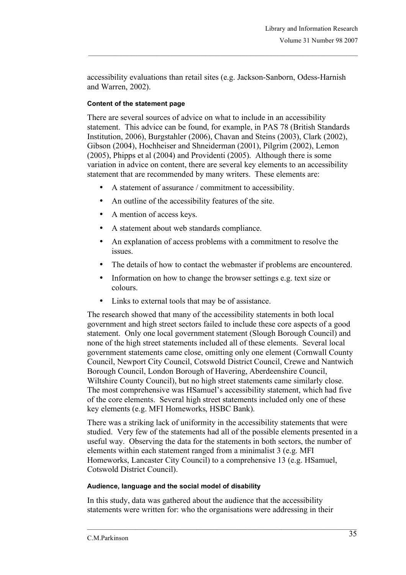accessibility evaluations than retail sites (e.g. Jackson-Sanborn, Odess-Harnish and Warren, 2002).

# **Content of the statement page**

There are several sources of advice on what to include in an accessibility statement. This advice can be found, for example, in PAS 78 (British Standards Institution, 2006), Burgstahler (2006), Chavan and Steins (2003), Clark (2002), Gibson (2004), Hochheiser and Shneiderman (2001), Pilgrim (2002), Lemon (2005), Phipps et al (2004) and Providenti (2005). Although there is some variation in advice on content, there are several key elements to an accessibility statement that are recommended by many writers. These elements are:

- A statement of assurance / commitment to accessibility.
- An outline of the accessibility features of the site.
- A mention of access keys.
- A statement about web standards compliance.
- An explanation of access problems with a commitment to resolve the issues.
- The details of how to contact the webmaster if problems are encountered.
- Information on how to change the browser settings e.g. text size or colours.
- Links to external tools that may be of assistance.

The research showed that many of the accessibility statements in both local government and high street sectors failed to include these core aspects of a good statement. Only one local government statement (Slough Borough Council) and none of the high street statements included all of these elements. Several local government statements came close, omitting only one element (Cornwall County Council, Newport City Council, Cotswold District Council, Crewe and Nantwich Borough Council, London Borough of Havering, Aberdeenshire Council, Wiltshire County Council), but no high street statements came similarly close. The most comprehensive was HSamuel's accessibility statement, which had five of the core elements. Several high street statements included only one of these key elements (e.g. MFI Homeworks, HSBC Bank).

There was a striking lack of uniformity in the accessibility statements that were studied. Very few of the statements had all of the possible elements presented in a useful way. Observing the data for the statements in both sectors, the number of elements within each statement ranged from a minimalist 3 (e.g. MFI Homeworks, Lancaster City Council) to a comprehensive 13 (e.g. HSamuel, Cotswold District Council).

### **Audience, language and the social model of disability**

In this study, data was gathered about the audience that the accessibility statements were written for: who the organisations were addressing in their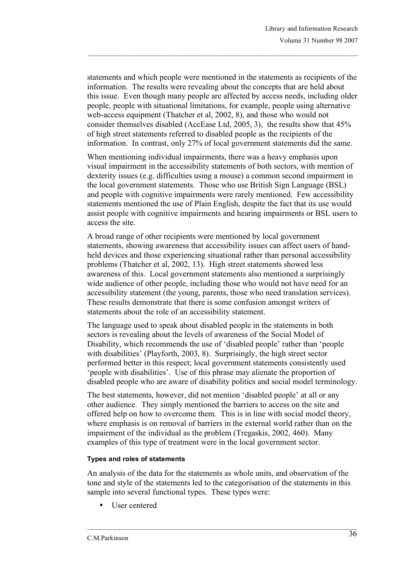statements and which people were mentioned in the statements as recipients of the information. The results were revealing about the concepts that are held about this issue. Even though many people are affected by access needs, including older people, people with situational limitations, for example, people using alternative web-access equipment (Thatcher et al, 2002, 8), and those who would not consider themselves disabled (AccEase Ltd, 2005, 3), the results show that 45% of high street statements referred to disabled people as the recipients of the information. In contrast, only 27% of local government statements did the same.

When mentioning individual impairments, there was a heavy emphasis upon visual impairment in the accessibility statements of both sectors, with mention of dexterity issues (e.g. difficulties using a mouse) a common second impairment in the local government statements. Those who use British Sign Language (BSL) and people with cognitive impairments were rarely mentioned. Few accessibility statements mentioned the use of Plain English, despite the fact that its use would assist people with cognitive impairments and hearing impairments or BSL users to access the site.

A broad range of other recipients were mentioned by local government statements, showing awareness that accessibility issues can affect users of handheld devices and those experiencing situational rather than personal accessibility problems (Thatcher et al, 2002, 13). High street statements showed less awareness of this. Local government statements also mentioned a surprisingly wide audience of other people, including those who would not have need for an accessibility statement (the young, parents, those who need translation services). These results demonstrate that there is some confusion amongst writers of statements about the role of an accessibility statement.

The language used to speak about disabled people in the statements in both sectors is revealing about the levels of awareness of the Social Model of Disability, which recommends the use of 'disabled people' rather than 'people with disabilities' (Playforth, 2003, 8). Surprisingly, the high street sector performed better in this respect; local government statements consistently used 'people with disabilities'. Use of this phrase may alienate the proportion of disabled people who are aware of disability politics and social model terminology.

The best statements, however, did not mention 'disabled people' at all or any other audience. They simply mentioned the barriers to access on the site and offered help on how to overcome them. This is in line with social model theory, where emphasis is on removal of barriers in the external world rather than on the impairment of the individual as the problem (Tregaskis, 2002, 460). Many examples of this type of treatment were in the local government sector.

### **Types and roles of statements**

An analysis of the data for the statements as whole units, and observation of the tone and style of the statements led to the categorisation of the statements in this sample into several functional types. These types were:

User centered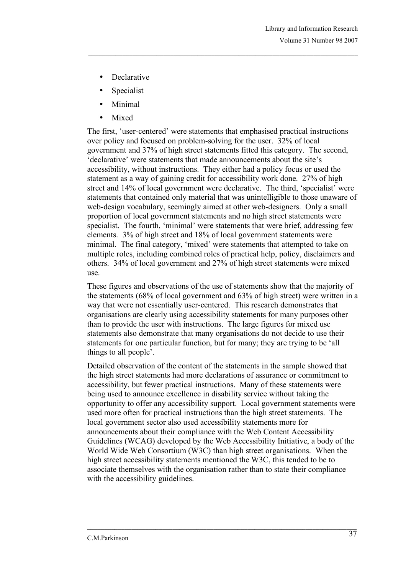- Declarative
- **Specialist**
- Minimal
- Mixed

The first, 'user-centered' were statements that emphasised practical instructions over policy and focused on problem-solving for the user. 32% of local government and 37% of high street statements fitted this category. The second, 'declarative' were statements that made announcements about the site's accessibility, without instructions. They either had a policy focus or used the statement as a way of gaining credit for accessibility work done. 27% of high street and 14% of local government were declarative. The third, 'specialist' were statements that contained only material that was unintelligible to those unaware of web-design vocabulary, seemingly aimed at other web-designers. Only a small proportion of local government statements and no high street statements were specialist. The fourth, 'minimal' were statements that were brief, addressing few elements. 3% of high street and 18% of local government statements were minimal. The final category, 'mixed' were statements that attempted to take on multiple roles, including combined roles of practical help, policy, disclaimers and others. 34% of local government and 27% of high street statements were mixed use.

These figures and observations of the use of statements show that the majority of the statements (68% of local government and 63% of high street) were written in a way that were not essentially user-centered. This research demonstrates that organisations are clearly using accessibility statements for many purposes other than to provide the user with instructions. The large figures for mixed use statements also demonstrate that many organisations do not decide to use their statements for one particular function, but for many; they are trying to be 'all things to all people'.

Detailed observation of the content of the statements in the sample showed that the high street statements had more declarations of assurance or commitment to accessibility, but fewer practical instructions. Many of these statements were being used to announce excellence in disability service without taking the opportunity to offer any accessibility support. Local government statements were used more often for practical instructions than the high street statements. The local government sector also used accessibility statements more for announcements about their compliance with the Web Content Accessibility Guidelines (WCAG) developed by the Web Accessibility Initiative, a body of the World Wide Web Consortium (W3C) than high street organisations. When the high street accessibility statements mentioned the W3C, this tended to be to associate themselves with the organisation rather than to state their compliance with the accessibility guidelines.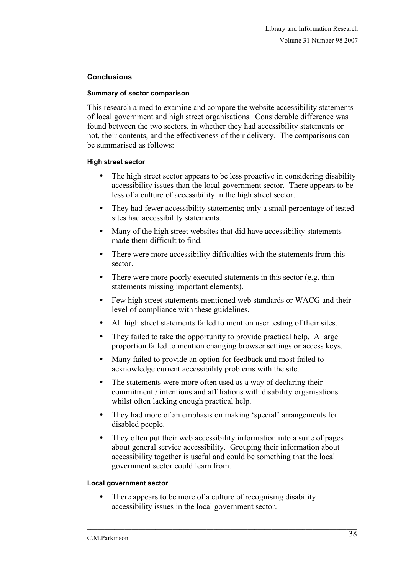# **Conclusions**

### **Summary of sector comparison**

This research aimed to examine and compare the website accessibility statements of local government and high street organisations. Considerable difference was found between the two sectors, in whether they had accessibility statements or not, their contents, and the effectiveness of their delivery. The comparisons can be summarised as follows:

### **High street sector**

- The high street sector appears to be less proactive in considering disability accessibility issues than the local government sector. There appears to be less of a culture of accessibility in the high street sector.
- They had fewer accessibility statements; only a small percentage of tested sites had accessibility statements.
- Many of the high street websites that did have accessibility statements made them difficult to find.
- There were more accessibility difficulties with the statements from this sector.
- There were more poorly executed statements in this sector (e.g. thin statements missing important elements).
- Few high street statements mentioned web standards or WACG and their level of compliance with these guidelines.
- All high street statements failed to mention user testing of their sites.
- They failed to take the opportunity to provide practical help. A large proportion failed to mention changing browser settings or access keys.
- Many failed to provide an option for feedback and most failed to acknowledge current accessibility problems with the site.
- The statements were more often used as a way of declaring their commitment / intentions and affiliations with disability organisations whilst often lacking enough practical help.
- They had more of an emphasis on making 'special' arrangements for disabled people.
- They often put their web accessibility information into a suite of pages about general service accessibility. Grouping their information about accessibility together is useful and could be something that the local government sector could learn from.

### **Local government sector**

There appears to be more of a culture of recognising disability accessibility issues in the local government sector.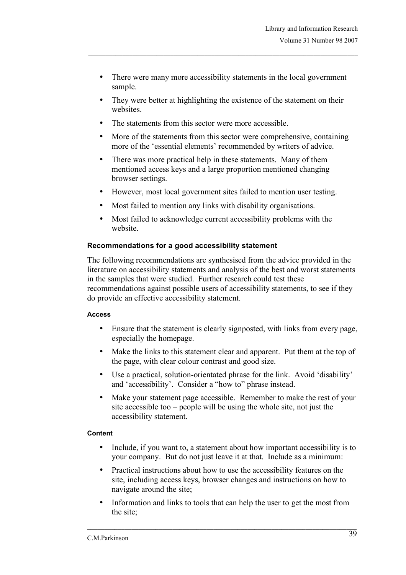- There were many more accessibility statements in the local government sample.
- They were better at highlighting the existence of the statement on their websites
- The statements from this sector were more accessible.
- More of the statements from this sector were comprehensive, containing more of the 'essential elements' recommended by writers of advice.
- There was more practical help in these statements. Many of them mentioned access keys and a large proportion mentioned changing browser settings.
- However, most local government sites failed to mention user testing.
- Most failed to mention any links with disability organisations.
- Most failed to acknowledge current accessibility problems with the website.

# **Recommendations for a good accessibility statement**

The following recommendations are synthesised from the advice provided in the literature on accessibility statements and analysis of the best and worst statements in the samples that were studied. Further research could test these recommendations against possible users of accessibility statements, to see if they do provide an effective accessibility statement.

### **Access**

- Ensure that the statement is clearly signposted, with links from every page, especially the homepage.
- Make the links to this statement clear and apparent. Put them at the top of the page, with clear colour contrast and good size.
- Use a practical, solution-orientated phrase for the link. Avoid 'disability' and 'accessibility'. Consider a "how to" phrase instead.
- Make your statement page accessible. Remember to make the rest of your site accessible too – people will be using the whole site, not just the accessibility statement.

# **Content**

- Include, if you want to, a statement about how important accessibility is to your company. But do not just leave it at that. Include as a minimum:
- Practical instructions about how to use the accessibility features on the site, including access keys, browser changes and instructions on how to navigate around the site;
- Information and links to tools that can help the user to get the most from the site;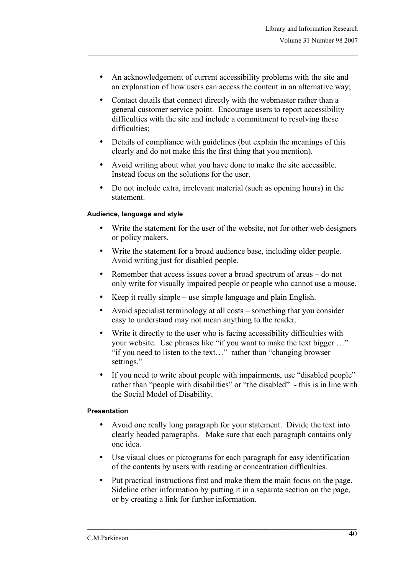- An acknowledgement of current accessibility problems with the site and an explanation of how users can access the content in an alternative way;
- Contact details that connect directly with the webmaster rather than a general customer service point. Encourage users to report accessibility difficulties with the site and include a commitment to resolving these difficulties;
- Details of compliance with guidelines (but explain the meanings of this clearly and do not make this the first thing that you mention).
- Avoid writing about what you have done to make the site accessible. Instead focus on the solutions for the user.
- Do not include extra, irrelevant material (such as opening hours) in the statement.

# **Audience, language and style**

- Write the statement for the user of the website, not for other web designers or policy makers.
- Write the statement for a broad audience base, including older people. Avoid writing just for disabled people.
- Remember that access issues cover a broad spectrum of areas do not only write for visually impaired people or people who cannot use a mouse.
- Keep it really simple use simple language and plain English.
- Avoid specialist terminology at all costs something that you consider easy to understand may not mean anything to the reader.
- Write it directly to the user who is facing accessibility difficulties with your website. Use phrases like "if you want to make the text bigger …" "if you need to listen to the text…" rather than "changing browser settings."
- If you need to write about people with impairments, use "disabled people" rather than "people with disabilities" or "the disabled" - this is in line with the Social Model of Disability.

### **Presentation**

- Avoid one really long paragraph for your statement. Divide the text into clearly headed paragraphs. Make sure that each paragraph contains only one idea.
- Use visual clues or pictograms for each paragraph for easy identification of the contents by users with reading or concentration difficulties.
- Put practical instructions first and make them the main focus on the page. Sideline other information by putting it in a separate section on the page, or by creating a link for further information.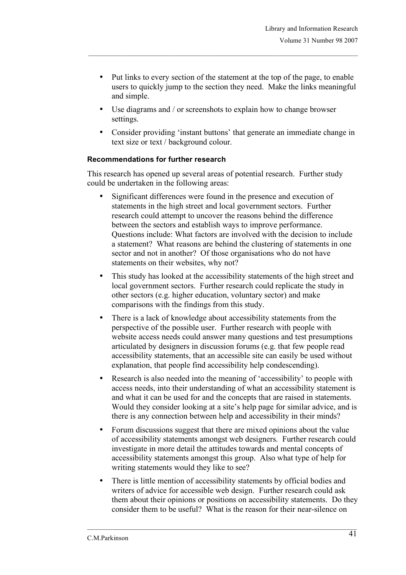- Put links to every section of the statement at the top of the page, to enable users to quickly jump to the section they need. Make the links meaningful and simple.
- Use diagrams and / or screenshots to explain how to change browser settings.
- Consider providing 'instant buttons' that generate an immediate change in text size or text / background colour.

### **Recommendations for further research**

This research has opened up several areas of potential research. Further study could be undertaken in the following areas:

- Significant differences were found in the presence and execution of statements in the high street and local government sectors. Further research could attempt to uncover the reasons behind the difference between the sectors and establish ways to improve performance. Questions include: What factors are involved with the decision to include a statement? What reasons are behind the clustering of statements in one sector and not in another? Of those organisations who do not have statements on their websites, why not?
- This study has looked at the accessibility statements of the high street and local government sectors. Further research could replicate the study in other sectors (e.g. higher education, voluntary sector) and make comparisons with the findings from this study.
- There is a lack of knowledge about accessibility statements from the perspective of the possible user. Further research with people with website access needs could answer many questions and test presumptions articulated by designers in discussion forums (e.g. that few people read accessibility statements, that an accessible site can easily be used without explanation, that people find accessibility help condescending).
- Research is also needed into the meaning of 'accessibility' to people with access needs, into their understanding of what an accessibility statement is and what it can be used for and the concepts that are raised in statements. Would they consider looking at a site's help page for similar advice, and is there is any connection between help and accessibility in their minds?
- Forum discussions suggest that there are mixed opinions about the value of accessibility statements amongst web designers. Further research could investigate in more detail the attitudes towards and mental concepts of accessibility statements amongst this group. Also what type of help for writing statements would they like to see?
- There is little mention of accessibility statements by official bodies and writers of advice for accessible web design. Further research could ask them about their opinions or positions on accessibility statements. Do they consider them to be useful? What is the reason for their near-silence on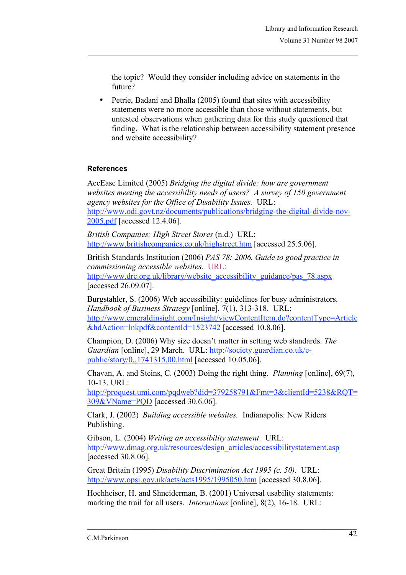the topic? Would they consider including advice on statements in the future?

Petrie, Badani and Bhalla (2005) found that sites with accessibility statements were no more accessible than those without statements, but untested observations when gathering data for this study questioned that finding. What is the relationship between accessibility statement presence and website accessibility?

# **References**

AccEase Limited (2005) *Bridging the digital divide: how are government websites meeting the accessibility needs of users? A survey of 150 government agency websites for the Office of Disability Issues.* URL: http://www.odi.govt.nz/documents/publications/bridging-the-digital-divide-nov-2005.pdf [accessed 12.4.06].

*British Companies: High Street Stores* (n.d.) URL: http://www.britishcompanies.co.uk/highstreet.htm [accessed 25.5.06].

British Standards Institution (2006) *PAS 78: 2006. Guide to good practice in commissioning accessible websites.* URL: http://www.drc.org.uk/library/website\_accessibility\_guidance/pas\_78.aspx [accessed 26.09.07].

Burgstahler, S. (2006) Web accessibility: guidelines for busy administrators. *Handbook of Business Strategy* [online], 7(1), 313-318. URL: http://www.emeraldinsight.com/Insight/viewContentItem.do?contentType=Article &hdAction=lnkpdf&contentId=1523742 [accessed 10.8.06].

Champion, D. (2006) Why size doesn't matter in setting web standards. *The Guardian* [online], 29 March. URL: http://society.guardian.co.uk/epublic/story/0,,1741315,00.html [accessed 10.05.06].

Chavan, A. and Steins, C. (2003) Doing the right thing. *Planning* [online], 69(7), 10-13. URL:

http://proquest.umi.com/pqdweb?did=379258791&Fmt=3&clientId=5238&RQT= 309&VName=PQD [accessed 30.6.06].

Clark, J. (2002) *Building accessible websites.* Indianapolis: New Riders Publishing.

Gibson, L. (2004) *Writing an accessibility statement*. URL: http://www.dmag.org.uk/resources/design\_articles/accessibilitystatement.asp [accessed 30.8.06].

Great Britain (1995) *Disability Discrimination Act 1995 (c. 50).* URL: http://www.opsi.gov.uk/acts/acts1995/1995050.htm [accessed 30.8.06].

Hochheiser, H. and Shneiderman, B. (2001) Universal usability statements: marking the trail for all users. *Interactions* [online], 8(2), 16-18. URL: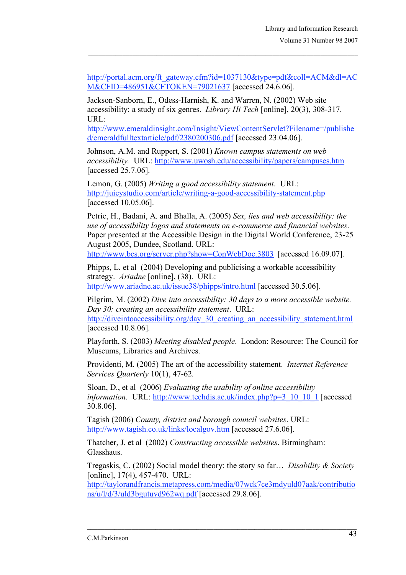http://portal.acm.org/ft\_gateway.cfm?id=1037130&type=pdf&coll=ACM&dl=AC M&CFID=486951&CFTOKEN=79021637 [accessed 24.6.06].

Jackson-Sanborn, E., Odess-Harnish, K. and Warren, N. (2002) Web site accessibility: a study of six genres. *Library Hi Tech* [online], 20(3), 308-317. URL:

http://www.emeraldinsight.com/Insight/ViewContentServlet?Filename=/publishe d/emeraldfulltextarticle/pdf/2380200306.pdf [accessed 23.04.06].

Johnson, A.M. and Ruppert, S. (2001) *Known campus statements on web accessibility.* URL: http://www.uwosh.edu/accessibility/papers/campuses.htm [accessed 25.7.06].

Lemon, G. (2005) *Writing a good accessibility statement*. URL: http://juicystudio.com/article/writing-a-good-accessibility-statement.php [accessed 10.05.06].

Petrie, H., Badani, A. and Bhalla, A. (2005) *Sex, lies and web accessibility: the use of accessibility logos and statements on e-commerce and financial websites*. Paper presented at the Accessible Design in the Digital World Conference, 23-25 August 2005, Dundee, Scotland. URL: http://www.bcs.org/server.php?show=ConWebDoc.3803 [accessed 16.09.07].

Phipps, L. et al (2004) Developing and publicising a workable accessibility strategy. *Ariadne* [online], (38). URL:

http://www.ariadne.ac.uk/issue38/phipps/intro.html [accessed 30.5.06].

Pilgrim, M. (2002) *Dive into accessibility: 30 days to a more accessible website. Day 30: creating an accessibility statement*. URL: http://diveintoaccessibility.org/day\_30\_creating\_an\_accessibility\_statement.html

[accessed 10.8.06].

Playforth, S. (2003) *Meeting disabled people*. London: Resource: The Council for Museums, Libraries and Archives.

Providenti, M. (2005) The art of the accessibility statement. *Internet Reference Services Quarterly* 10(1), 47-62.

Sloan, D., et al (2006) *Evaluating the usability of online accessibility information.* URL: http://www.techdis.ac.uk/index.php?p=3\_10\_10\_1 [accessed 30.8.06].

Tagish (2006) *County, district and borough council websites*. URL: http://www.tagish.co.uk/links/localgov.htm [accessed 27.6.06].

Thatcher, J. et al (2002) *Constructing accessible websites*. Birmingham: Glasshaus.

Tregaskis, C. (2002) Social model theory: the story so far… *Disability & Society* [online], 17(4), 457-470. URL:

http://taylorandfrancis.metapress.com/media/07wck7ce3mdyuld07aak/contributio ns/u/l/d/3/uld3bgutuvd962wq.pdf [accessed 29.8.06].